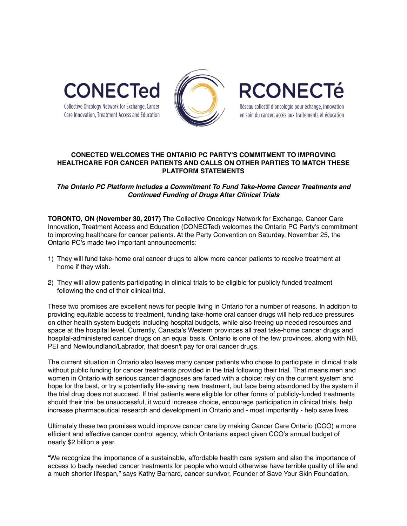



**RCONECTé** Réseau collectif d'oncologie pour échange, innovation en soin du cancer, accès aux traitements et éducation

**CONECTED WELCOMES THE ONTARIO PC PARTY'S COMMITMENT TO IMPROVING HEALTHCARE FOR CANCER PATIENTS AND CALLS ON OTHER PARTIES TO MATCH THESE PLATFORM STATEMENTS**

## *The Ontario PC Platform Includes a Commitment To Fund Take-Home Cancer Treatments and Continued Funding of Drugs After Clinical Trials*

**TORONTO, ON (November 30, 2017)** The Collective Oncology Network for Exchange, Cancer Care Innovation, Treatment Access and Education (CONECTed) welcomes the Ontario PC Party's commitment to improving healthcare for cancer patients. At the Party Convention on Saturday, November 25, the Ontario PC's made two important announcements:

- 1) They will fund take-home oral cancer drugs to allow more cancer patients to receive treatment at home if they wish.
- 2) They will allow patients participating in clinical trials to be eligible for publicly funded treatment following the end of their clinical trial.

These two promises are excellent news for people living in Ontario for a number of reasons. In addition to providing equitable access to treatment, funding take-home oral cancer drugs will help reduce pressures on other health system budgets including hospital budgets, while also freeing up needed resources and space at the hospital level. Currently, Canada's Western provinces all treat take-home cancer drugs and hospital-administered cancer drugs on an equal basis. Ontario is one of the few provinces, along with NB, PEI and Newfoundland/Labrador, that doesn't pay for oral cancer drugs.

The current situation in Ontario also leaves many cancer patients who chose to participate in clinical trials without public funding for cancer treatments provided in the trial following their trial. That means men and women in Ontario with serious cancer diagnoses are faced with a choice: rely on the current system and hope for the best, or try a potentially life-saving new treatment, but face being abandoned by the system if the trial drug does not succeed. If trial patients were eligible for other forms of publicly-funded treatments should their trial be unsuccessful, it would increase choice, encourage participation in clinical trials, help increase pharmaceutical research and development in Ontario and - most importantly - help save lives.

Ultimately these two promises would improve cancer care by making Cancer Care Ontario (CCO) a more efficient and effective cancer control agency, which Ontarians expect given CCO's annual budget of nearly \$2 billion a year.

"We recognize the importance of a sustainable, affordable health care system and also the importance of access to badly needed cancer treatments for people who would otherwise have terrible quality of life and a much shorter lifespan," says Kathy Barnard, cancer survivor, Founder of Save Your Skin Foundation,